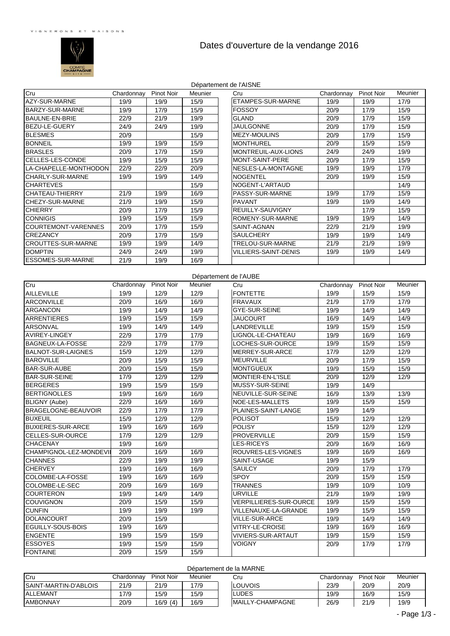

# Dates d'ouverture de la vendange 2016

|                            |            |                   |         | Département de l'AISNE      |            |                   |         |
|----------------------------|------------|-------------------|---------|-----------------------------|------------|-------------------|---------|
| Cru                        | Chardonnay | <b>Pinot Noir</b> | Meunier | Cru                         | Chardonnay | <b>Pinot Noir</b> | Meunier |
| AZY-SUR-MARNE              | 19/9       | 19/9              | 15/9    | <b>ETAMPES-SUR-MARNE</b>    | 19/9       | 19/9              | 17/9    |
| BARZY-SUR-MARNE            | 19/9       | 17/9              | 15/9    | FOSSOY                      | 20/9       | 17/9              | 15/9    |
| <b>BAULNE-EN-BRIE</b>      | 22/9       | 21/9              | 19/9    | <b>GLAND</b>                | 20/9       | 17/9              | 15/9    |
| BEZU-LE-GUERY              | 24/9       | 24/9              | 19/9    | <b>JAULGONNE</b>            | 20/9       | 17/9              | 15/9    |
| <b>BLESMES</b>             | 20/9       |                   | 15/9    | <b>MEZY-MOULINS</b>         | 20/9       | 17/9              | 15/9    |
| <b>BONNEIL</b>             | 19/9       | 19/9              | 15/9    | <b>MONTHUREL</b>            | 20/9       | 15/9              | 15/9    |
| <b>BRASLES</b>             | 20/9       | 17/9              | 15/9    | MONTREUIL-AUX-LIONS         | 24/9       | 24/9              | 19/9    |
| <b>CELLES-LES-CONDE</b>    | 19/9       | 15/9              | 15/9    | <b>MONT-SAINT-PERE</b>      | 20/9       | 17/9              | 15/9    |
| LA-CHAPELLE-MONTHODON      | 22/9       | 22/9              | 20/9    | NESLES-LA-MONTAGNE          | 19/9       | 19/9              | 17/9    |
| <b>CHARLY-SUR-MARNE</b>    | 19/9       | 19/9              | 14/9    | <b>NOGENTEL</b>             | 20/9       | 19/9              | 15/9    |
| <b>CHARTEVES</b>           |            |                   | 15/9    | NOGENT-L'ARTAUD             |            |                   | 14/9    |
| <b>CHATEAU-THIERRY</b>     | 21/9       | 19/9              | 16/9    | PASSY-SUR-MARNE             | 19/9       | 17/9              | 15/9    |
| CHEZY-SUR-MARNE            | 21/9       | 19/9              | 15/9    | <b>PAVANT</b>               | 19/9       | 19/9              | 14/9    |
| <b>CHIERRY</b>             | 20/9       | 17/9              | 15/9    | <b>REUILLY-SAUVIGNY</b>     |            | 17/9              | 15/9    |
| <b>CONNIGIS</b>            | 19/9       | 15/9              | 15/9    | ROMENY-SUR-MARNE            | 19/9       | 19/9              | 14/9    |
| <b>COURTEMONT-VARENNES</b> | 20/9       | 17/9              | 15/9    | SAINT-AGNAN                 | 22/9       | 21/9              | 19/9    |
| <b>CREZANCY</b>            | 20/9       | 17/9              | 15/9    | <b>SAULCHERY</b>            | 19/9       | 19/9              | 14/9    |
| <b>CROUTTES-SUR-MARNE</b>  | 19/9       | 19/9              | 14/9    | TRELOU-SUR-MARNE            | 21/9       | 21/9              | 19/9    |
| <b>DOMPTIN</b>             | 24/9       | 24/9              | 19/9    | <b>VILLIERS-SAINT-DENIS</b> | 19/9       | 19/9              | 14/9    |
| <b>ESSOMES-SUR-MARNE</b>   | 21/9       | 19/9              | 16/9    |                             |            |                   |         |
|                            |            |                   |         | Département de l'AUBE       |            |                   |         |

Cru Cru Chardonnay Pinot Noir Meunier Chardonnay Pinot Noir Meunier

#### AILLEVILLE | 19/9 | 12/9 | 12/9 | FONTETTE | 19/9 | 15/9 | 15/9 ARCONVILLE 20/9 16/9 16/9 FRAVAUX 21/9 17/9 17/9 ARGANCON 19/9 14/9 14/9 GYE-SUR-SEINE 19/9 14/9 14/9 ARRENTIERES | 19/9 | 15/9 | JAUCOURT | 16/9 | 14/9 | 14/9 ARSONVAL | 19/9 | 14/9 | 14/9 | |LANDREVILLE | 19/9 | 15/9 | 15/9 AVIREY-LINGEY 22/9 17/9 17/9 LIGNOL-LE-CHATEAU 19/9 16/9 16/9 BAGNEUX-LA-FOSSE 22/9 17/9 17/9 LOCHES-SUR-OURCE 19/9 15/9 15/9 BALNOT-SUR-LAIGNES 15/9 12/9 12/9 MERREY-SUR-ARCE 17/9 12/9 12/9 BAROVILLE 20/9 15/9 15/9 MEURVILLE 20/9 17/9 15/9 BAR-SUR-AUBE 20/9 15/9 15/9 MONTGUEUX 19/9 15/9 15/9 BAR-SUR-SEINE 17/9 12/9 12/9 MONTIER-EN-L'ISLE 20/9 12/9 12/9 BERGERES 19/9 15/9 15/9 MUSSY-SUR-SEINE 19/9 14/9 BERTIGNOLLES 19/9 16/9 16/9 NEUVILLE-SUR-SEINE 16/9 13/9 13/9 BLIGNY (Aube) 22/9 16/9 16/9 NOE-LES-MALLETS 19/9<br>BRAGELOGNE-BEAUVOIR 22/9 17/9 17/9 PLAINES-SAINT-LANGE 19/9 BRAGELOGNE-BEAUVOIR 22/9 17/9 17/9 PLAINES-SAINT-LANGE 19/9 14/9 BUXEUIL 15/9 12/9 12/9 POLISOT 15/9 12/9 12/9 BUXIERES-SUR-ARCE 19/9 16/9 16/9 POLISY 15/9 12/9 12/9 CELLES-SUR-OURCE 17/9 12/9 12/9 PROVERVILLE 20/9 15/9 15/9 CHACENAY | 19/9 | 16/9 | LES-RICEYS | 20/9 | 16/9 | 16/9 CHAMPIGNOL-LEZ-MONDEVILLE20/9 16/9 16/9 ROUVRES-LES-VIGNES 19/9 16/9 16/9 CHANNES 22/9 19/9 19/9 SAINT-USAGE 19/9 15/9 CHERVEY | 19/9 | 16/9 | |SAULCY | 20/9 | 17/9 | 17/9 COLOMBE-LA-FOSSE 19/9 16/9 16/9 SPOY 20/9 15/9 15/9 COLOMBE-LE-SEC 20/9 16/9 16/9 TRANNES 19/9 10/9 10/9 COURTERON 19/9 14/9 14/9 URVILLE 21/9 19/9 19/9 COUVIGNON 20/9 15/9 15/9 VERPILLIERES-SUR-OURCE 19/9 15/9 15/9 CUNFIN 19/9 19/9 19/9 VILLENAUXE-LA-GRANDE 19/9 15/9 15/9 00LANCOURT 20/9 15/9 VILLE-SUR-ARCE 19/9 14/9 14/9<br>19/9 16/9 19/9 16/9 VITRY-LE-CROISE 19/9 16/9 16/9 EGUILLY-SOUS-BOIS 19/9 16/9 VITRY-LE-CROISE 19/9 16/9 16/9 ENGENTE 19/9 15/9 15/9 15/9 VIVIERS-SUR-ARTAUT 19/9 15/9 15/9 ESSOYES 19/9 15/9 15/9 VOIGNY 20/9 17/9 17/9

## Département de la MARNE

FONTAINE 20/9 15/9 15/9

| <b>I</b> Cru                 | Chardonnav | <b>Pinot Noir</b> | Meunier |  | Cru                      | Chardonnav | <b>Pinot Noir</b> | Meunier |  |  |
|------------------------------|------------|-------------------|---------|--|--------------------------|------------|-------------------|---------|--|--|
| <b>SAINT-MARTIN-D'ABLOIS</b> | 21/9       | 21/9              | 17/9    |  | LOUVOIS                  | 23/9       | 20/9              | 20/9    |  |  |
| ALLEMANT                     | 17/9       | 15/9              | 15/9    |  | LUDES.                   | 19/9       | 16/9              | 15/9    |  |  |
| <b>AMBONNAY</b>              | 20/9       | 16/9(4)           | 16/9    |  | <b>IMAILLY-CHAMPAGNE</b> | 26/9       | 21/9              | 19/9    |  |  |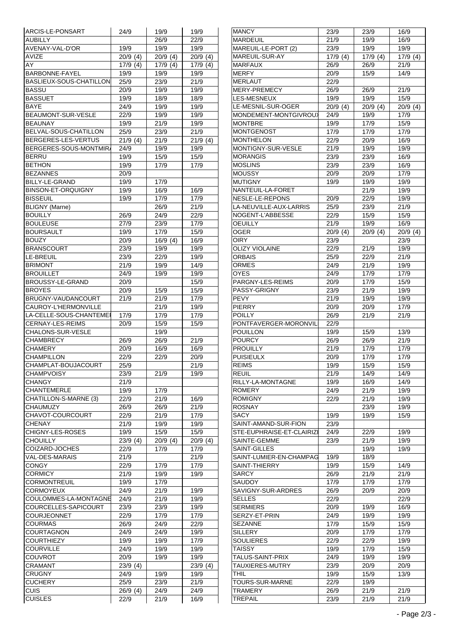| ARCIS-LE-PONSART          | 24/9       | 19/9       | 19/9       | <b>MANCY</b>             | 23/9       | 23/9       | 16/9       |
|---------------------------|------------|------------|------------|--------------------------|------------|------------|------------|
| <b>AUBILLY</b>            |            | 26/9       | 22/9       | <b>MARDEUIL</b>          | 21/9       | 19/9       | 16/9       |
| AVENAY-VAL-D'OR           | 19/9       | 19/9       | 19/9       | MAREUIL-LE-PORT (2)      | 23/9       | 19/9       | 19/9       |
| AVIZE                     | $20/9$ (4) | $20/9$ (4) | $20/9$ (4) | MAREUIL-SUR-AY           | 17/9(4)    | $17/9$ (4) | 17/9(4)    |
| AY                        | 17/9(4)    | 17/9(4)    | 17/9(4)    | <b>MARFAUX</b>           | 26/9       | 26/9       | 21/9       |
| BARBONNE-FAYEL            | 19/9       | 19/9       | 19/9       | <b>MERFY</b>             | 20/9       | 15/9       | 14/9       |
|                           |            |            |            |                          |            |            |            |
| BASLIEUX-SOUS-CHATILLON   | 25/9       | 23/9       | 21/9       | <b>MERLAUT</b>           | 22/9       |            |            |
| <b>BASSU</b>              | 20/9       | 19/9       | 19/9       | MERY-PREMECY             | 26/9       | 26/9       | 21/9       |
| <b>BASSUET</b>            | 19/9       | 18/9       | 18/9       | LES-MESNEUX              | 19/9       | 19/9       | 15/9       |
| <b>BAYE</b>               | 24/9       | 19/9       | 19/9       | LE-MESNIL-SUR-OGER       | $20/9$ (4) | $20/9$ (4) | $20/9$ (4) |
| BEAUMONT-SUR-VESLE        | 22/9       | 19/9       | 19/9       | MONDEMENT-MONTGIVROU)    | 24/9       | 19/9       | 17/9       |
|                           |            |            |            |                          |            |            |            |
| <b>BEAUNAY</b>            | 19/9       | 21/9       | 19/9       | <b>MONTBRE</b>           | 19/9       | 17/9       | 15/9       |
| BELVAL-SOUS-CHATILLON     | 25/9       | 23/9       | 21/9       | <b>MONTGENOST</b>        | 17/9       | 17/9       | 17/9       |
| BERGERES-LES-VERTUS       | 21/9(4)    | 21/9       | 21/9(4)    | <b>MONTHELON</b>         | 22/9       | 20/9       | 16/9       |
| BERGERES-SOUS-MONTMIR     | 24/9       | 19/9       | 19/9       | MONTIGNY-SUR-VESLE       | 21/9       | 19/9       | 19/9       |
| <b>BERRU</b>              | 19/9       | 15/9       | 15/9       | <b>MORANGIS</b>          | 23/9       | 23/9       | 16/9       |
| <b>BETHON</b>             | 19/9       | 17/9       | 17/9       | <b>MOSLINS</b>           | 23/9       | 23/9       | 16/9       |
|                           |            |            |            |                          |            |            |            |
| <b>BEZANNES</b>           | 20/9       |            |            | <b>MOUSSY</b>            | 20/9       | 20/9       | 17/9       |
| BILLY-LE-GRAND            | 19/9       | 17/9       |            | <b>MUTIGNY</b>           | 19/9       | 19/9       | 19/9       |
| <b>BINSON-ET-ORQUIGNY</b> | 19/9       | 16/9       | 16/9       | NANTEUIL-LA-FORET        |            | 21/9       | 19/9       |
| <b>BISSEUIL</b>           | 19/9       | 17/9       | 17/9       | NESLE-LE-REPONS          | 20/9       | 22/9       | 19/9       |
| <b>BLIGNY</b> (Marne)     |            | 26/9       | 21/9       | LA-NEUVILLE-AUX-LARRIS   | 25/9       | 23/9       | 21/9       |
| <b>BOUILLY</b>            | 26/9       | 24/9       | 22/9       | NOGENT-L'ABBESSE         | 22/9       | 15/9       | 15/9       |
|                           |            |            |            |                          |            |            |            |
| <b>BOULEUSE</b>           | 27/9       | 23/9       | 17/9       | <b>OEUILLY</b>           | 21/9       | 19/9       | 16/9       |
| <b>BOURSAULT</b>          | 19/9       | 17/9       | 15/9       | <b>OGER</b>              | $20/9$ (4) | $20/9$ (4) | $20/9$ (4) |
| <b>BOUZY</b>              | 20/9       | 16/9(4)    | 16/9       | <b>OIRY</b>              | 23/9       |            | 23/9       |
| <b>BRANSCOURT</b>         | 23/9       | 19/9       | 19/9       | <b>OLIZY VIOLAINE</b>    | 22/9       | 21/9       | 19/9       |
| LE-BREUIL                 | 23/9       | 22/9       | 19/9       | ORBAIS                   | 25/9       | 22/9       | 21/9       |
|                           |            |            |            |                          |            |            |            |
| <b>BRIMONT</b>            | 21/9       | 19/9       | 14/9       | <b>ORMES</b>             | 24/9       | 21/9       | 19/9       |
| <b>BROUILLET</b>          | 24/9       | 19/9       | 19/9       | <b>OYES</b>              | 24/9       | 17/9       | 17/9       |
| BROUSSY-LE-GRAND          | 20/9       |            | 15/9       | PARGNY-LES-REIMS         | 20/9       | 17/9       | 15/9       |
| <b>BROYES</b>             | 20/9       | 15/9       | 15/9       | PASSY-GRIGNY             | 23/9       | 21/9       | 19/9       |
| BRUGNY-VAUDANCOURT        | 21/9       | 21/9       | 17/9       | PEVY                     | 21/9       | 19/9       | 19/9       |
| CAUROY-L'HERMONVILLE      |            | 21/9       | 19/9       | <b>PIERRY</b>            | 20/9       | 20/9       | 17/9       |
|                           |            |            |            |                          |            |            |            |
| LA-CELLE-SOUS-CHANTEMEI   | 17/9       | 17/9       | 17/9       | <b>POILLY</b>            | 26/9       | 21/9       | 21/9       |
| CERNAY-LES-REIMS          | 20/9       | 15/9       | 15/9       | PONTFAVERGER-MORONVIL    | 22/9       |            |            |
| CHALONS-SUR-VESLE         |            | 19/9       |            | <b>POUILLON</b>          | 19/9       | 15/9       | 13/9       |
| <b>CHAMBRECY</b>          | 26/9       | 26/9       | 21/9       | <b>POURCY</b>            | 26/9       | 26/9       | 21/9       |
| <b>CHAMERY</b>            | 20/9       | 16/9       | 16/9       | <b>PROUILLY</b>          | 21/9       | 17/9       | 17/9       |
|                           |            |            |            | <b>PUISIEULX</b>         |            |            |            |
| <b>CHAMPILLON</b>         | 22/9       | 22/9       | 20/9       |                          | 20/9       | 17/9       | 17/9       |
| CHAMPLAT-BOUJACOURT       | 25/9       |            | 21/9       | <b>REIMS</b>             | 19/9       | 15/9       | 15/9       |
| <b>CHAMPVOISY</b>         | 23/9       | 21/9       | 19/9       | <b>REUIL</b>             | 21/9       | 14/9       | 14/9       |
| <b>CHANGY</b>             | 21/9       |            |            | RILLY-LA-MONTAGNE        | 19/9       | 16/9       | 14/9       |
| <b>CHANTEMERLE</b>        | 19/9       | 17/9       |            | <b>ROMERY</b>            | 24/9       | 21/9       | 19/9       |
| CHATILLON-S-MARNE (3)     | 22/9       | 21/9       | 16/9       | <b>ROMIGNY</b>           | 22/9       | 21/9       | 19/9       |
|                           |            |            |            |                          |            |            |            |
| CHAUMUZY                  | 26/9       | 26/9       | 21/9       | <b>ROSNAY</b>            |            | 23/9       | 19/9       |
| CHAVOT-COURCOURT          | 22/9       | 21/9       | 17/9       | <b>SACY</b>              | 19/9       | 19/9       | 15/9       |
| <b>CHENAY</b>             | 21/9       | 19/9       | 19/9       | SAINT-AMAND-SUR-FION     | 23/9       |            |            |
| CHIGNY-LES-ROSES          | 19/9       | 15/9       | 15/9       | STE-EUPHRAISE-ET-CLAIRIZ | 24/9       | 22/9       | 19/9       |
| <b>CHOUILLY</b>           | 23/9(4)    | $20/9$ (4) | $20/9$ (4) | SAINTE-GEMME             | 23/9       | 21/9       | 19/9       |
| COIZARD-JOCHES            |            |            |            | <b>SAINT-GILLES</b>      |            |            |            |
|                           | 22/9       | 17/9       | 17/9       |                          |            | 19/9       | 19/9       |
| VAL-DES-MARAIS            | 21/9       |            | 21/9       | SAINT-LUMIER-EN-CHAMPAG  | 19/9       | 18/9       |            |
| <b>CONGY</b>              | 22/9       | 17/9       | 17/9       | SAINT-THIERRY            | 19/9       | 15/9       | 14/9       |
| <b>CORMICY</b>            | 21/9       | 19/9       | 19/9       | <b>SARCY</b>             | 26/9       | 21/9       | 21/9       |
| <b>CORMONTREUIL</b>       | 19/9       | 17/9       |            | <b>SAUDOY</b>            | 17/9       | 17/9       | 17/9       |
| <b>CORMOYEUX</b>          | 24/9       | 21/9       | 19/9       | SAVIGNY-SUR-ARDRES       | 26/9       | 20/9       | 20/9       |
|                           |            |            |            |                          |            |            |            |
| COULOMMES-LA-MONTAGNE     | 24/9       | 21/9       | 19/9       | <b>SELLES</b>            | 22/9       |            | 22/9       |
| COURCELLES-SAPICOURT      | 23/9       | 23/9       | 19/9       | <b>SERMIERS</b>          | 20/9       | 19/9       | 16/9       |
| COURJEONNET               | 22/9       | 17/9       | 17/9       | SERZY-ET-PRIN            | 24/9       | 19/9       | 19/9       |
| <b>COURMAS</b>            | 26/9       | 24/9       | 22/9       | <b>SEZANNE</b>           | 17/9       | 15/9       | 15/9       |
| <b>COURTAGNON</b>         | 24/9       | 24/9       | 19/9       | <b>SILLERY</b>           | 20/9       | 17/9       | 17/9       |
|                           |            |            |            |                          |            |            |            |
| <b>COURTHIEZY</b>         | 19/9       | 19/9       | 17/9       | <b>SOULIERES</b>         | 22/9       | 22/9       | 19/9       |
| <b>COURVILLE</b>          | 24/9       | 19/9       | 19/9       | <b>TAISSY</b>            | 19/9       | 17/9       | 15/9       |
| <b>COUVROT</b>            | 20/9       | 19/9       | 19/9       | TALUS-SAINT-PRIX         | 24/9       | 19/9       | 19/9       |
| <b>CRAMANT</b>            | 23/9(4)    |            | $23/9$ (4) | <b>TAUXIERES-MUTRY</b>   | 23/9       | 20/9       | 20/9       |
| <b>CRUGNY</b>             | 24/9       | 19/9       | 19/9       | <b>THIL</b>              | 19/9       | 15/9       | 13/9       |
|                           |            |            |            |                          |            |            |            |
| <b>CUCHERY</b>            | 25/9       | 23/9       | 21/9       | TOURS-SUR-MARNE          | 22/9       | 19/9       |            |
| <b>CUIS</b>               | 26/9 (4)   | 24/9       | 24/9       | <b>TRAMERY</b>           | 26/9       | 21/9       | 21/9       |
| <b>CUISLES</b>            | 22/9       | 21/9       | 16/9       | <b>TREPAIL</b>           | 23/9       | 21/9       | 21/9       |
|                           |            |            |            |                          |            |            |            |